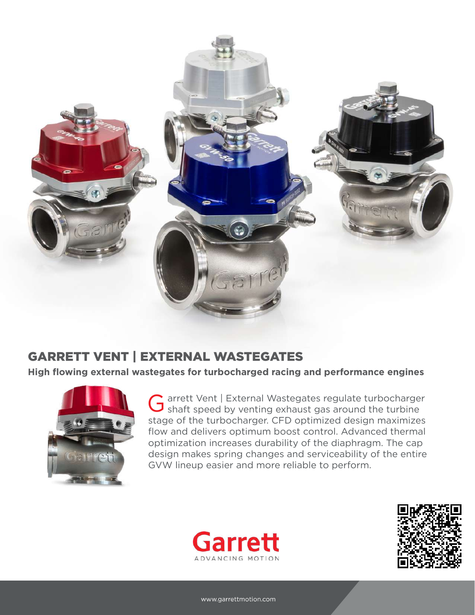

**High flowing external wastegates for turbocharged racing and performance engines**



arrett Vent | External Wastegates regulate turbocharger G arrett Vent | External Wastegates regulate turbocharge<br>
G shaft speed by venting exhaust gas around the turbine stage of the turbocharger. CFD optimized design maximizes flow and delivers optimum boost control. Advanced thermal optimization increases durability of the diaphragm. The cap design makes spring changes and serviceability of the entire GVW lineup easier and more reliable to perform.



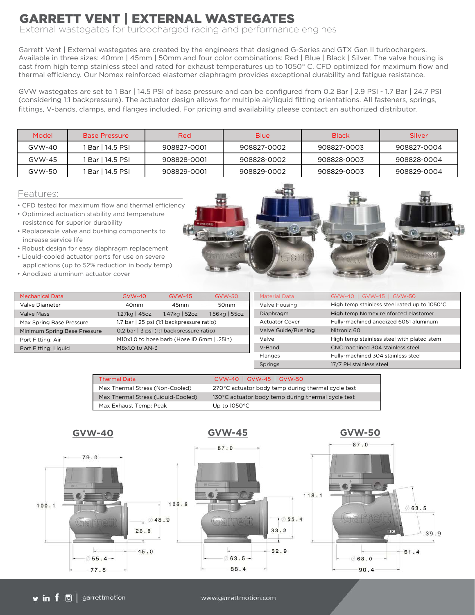External wastegates for turbocharged racing and performance engines

Garrett Vent | External wastegates are created by the engineers that designed G-Series and GTX Gen II turbochargers. Available in three sizes: 40mm | 45mm | 50mm and four color combinations: Red | Blue | Black | Silver. The valve housing is cast from high temp stainless steel and rated for exhaust temperatures up to 1050° C. CFD optimized for maximum flow and thermal efficiency. Our Nomex reinforced elastomer diaphragm provides exceptional durability and fatigue resistance.

GVW wastegates are set to 1 Bar | 14.5 PSI of base pressure and can be configured from 0.2 Bar | 2.9 PSI - 1.7 Bar | 24.7 PSI (considering 1:1 backpressure). The actuator design allows for multiple air/liquid fitting orientations. All fasteners, springs, fittings, V-bands, clamps, and flanges included. For pricing and availability please contact an authorized distributor.

| Model    | <b>Base Pressure</b> | Red         | <b>Blue</b> | <b>Black</b> | Silver      |
|----------|----------------------|-------------|-------------|--------------|-------------|
| $GVM-40$ | Bar   14.5 PSI       | 908827-0001 | 908827-0002 | 908827-0003  | 908827-0004 |
| $GVM-45$ | Bar   14.5 PSI       | 908828-0001 | 908828-0002 | 908828-0003  | 908828-0004 |
| GVW-50   | Bar   14.5 PSI       | 908829-0001 | 908829-0002 | 908829-0003  | 908829-0004 |

#### Features:

- 
- resistance for superior durability
- increase service life
- 
- Liquid-cooled actuator ports for use on severe applications (up to 52% reduction in body temp)
- Anodized aluminum actuator cover

| <b>Mechanical Data</b>                                                   | $GVM-40$                                   | $GVW-45$      | <b>GVW-50</b>    |  |  |  |  |
|--------------------------------------------------------------------------|--------------------------------------------|---------------|------------------|--|--|--|--|
| Valve Diameter                                                           | 40 <sub>mm</sub>                           | 45mm          | 50 <sub>mm</sub> |  |  |  |  |
| <b>Valve Mass</b>                                                        | 1.27kg   45oz                              | 1.47kg   52oz | 1.56kg   55oz    |  |  |  |  |
| 1.7 bar   25 psi (1:1 backpressure ratio)<br>Max Spring Base Pressure    |                                            |               |                  |  |  |  |  |
| 0.2 bar   3 psi (1:1 backpressure ratio)<br>Minimum Spring Base Pressure |                                            |               |                  |  |  |  |  |
| Port Fitting: Air                                                        | M10x1.0 to hose barb (Hose ID 6mm   .25in) |               |                  |  |  |  |  |
| Port Fitting: Liquid                                                     | M8x1.0 to AN-3                             |               |                  |  |  |  |  |

| Features:                                                                                                                                                                                                               |  |  |
|-------------------------------------------------------------------------------------------------------------------------------------------------------------------------------------------------------------------------|--|--|
| • CFD tested for maximum flow and thermal efficiency<br>. Optimized actuation stability and temperature<br>resistance for superior durability<br>• Replaceable valve and bushing components to<br>increase service life |  |  |
| • Robust design for easy diaphragm replacement<br>• Liquid-cooled actuator ports for use on severe<br>applications (up to 52% reduction in body temp)<br>• Anodized aluminum actuator cover                             |  |  |

**Baker** 

| <b>Material Data</b>  | GVW-40   GVW-45   GVW-50                     |
|-----------------------|----------------------------------------------|
| Valve Housing         | High temp stainless steel rated up to 1050°C |
| Diaphragm             | High temp Nomex reinforced elastomer         |
| <b>Actuator Cover</b> | Fully-machined anodized 6061 aluminum        |
| Valve Guide/Bushing   | Nitronic 60                                  |
| Valve                 | High temp stainless steel with plated stem   |
| V-Band                | CNC machined 304 stainless steel             |
| Flanges               | Fully-machined 304 stainless steel           |
| Springs               | 17/7 PH stainless steel                      |

| <b>Thermal Data</b>                | GVW-40   GVW-45   GVW-50                            |
|------------------------------------|-----------------------------------------------------|
| Max Thermal Stress (Non-Cooled)    | 270°C actuator body temp during thermal cycle test  |
| Max Thermal Stress (Liquid-Cooled) | 130 °C actuator body temp during thermal cycle test |
| Max Exhaust Temp: Peak             | Up to $1050^{\circ}$ C                              |

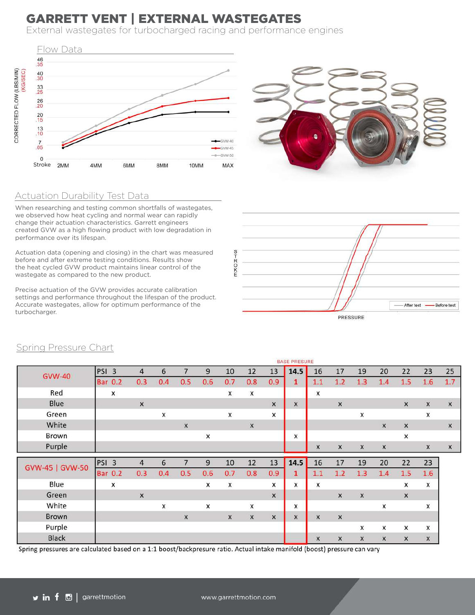External wastegates for turbocharged racing and performance engines





#### Actuation Durability Test Data

When researching and testing common shortfalls of wastegates, we observed how heat cycling and normal wear can rapidly change their actuation characteristics. Garrett engineers created GVW as a high flowing product with low degradation in performance over its lifespan.

Actuation data (opening and closing) in the chart was measured before and after extreme testing conditions. Results show the heat cycled GVW product maintains linear control of the wastegate as compared to the new product.

Precise actuation of the GVW provides accurate calibration settings and performance throughout the lifespan of the product. Accurate wastegates, allow for optimum performance of the turbocharger.



|                 |                  |                |                           |     |                  |     |                    |                           |     | <b>BASE PRESURE</b> |                  |                           |              |                  |                  |                           |                |
|-----------------|------------------|----------------|---------------------------|-----|------------------|-----|--------------------|---------------------------|-----|---------------------|------------------|---------------------------|--------------|------------------|------------------|---------------------------|----------------|
| <b>GVW-40</b>   | PSI <sub>3</sub> |                | $\overline{4}$            | 6   | $\overline{7}$   | 9   | 10                 | 12                        | 13  | 14.5                | 16               | 17                        | 19           | 20               | 22               | 23                        | 25             |
|                 |                  | <b>Bar 0.2</b> | 0.3                       | 0.4 | 0.5              | 0.6 | 0.7                | 0.8                       | 0.9 | $\mathbf{1}$        | 1.1              | 1.2                       | 1.3          | 1.4              | 1.5              | 1.6                       | 1.7            |
| Red             |                  | X              |                           |     |                  |     | X                  | X                         |     |                     | X                |                           |              |                  |                  |                           |                |
| Blue            |                  |                | $\pmb{\times}$            |     |                  |     |                    |                           | X   | $\mathsf X$         |                  | $\boldsymbol{\mathsf{X}}$ |              |                  | $\pmb{\times}$   | $\mathsf X$               | $\pmb{\times}$ |
| Green           |                  |                |                           | x   |                  |     | X                  |                           | x   |                     |                  |                           | x            |                  |                  | X                         |                |
| White           |                  |                |                           |     | $\boldsymbol{x}$ |     |                    | X                         |     |                     |                  |                           |              | $\boldsymbol{x}$ | $\mathsf X$      |                           | X              |
| Brown           |                  |                |                           |     |                  | x   |                    |                           |     | X                   |                  |                           |              |                  | $\mathsf{x}$     |                           |                |
| Purple          |                  |                |                           |     |                  |     |                    |                           |     |                     | X                | $\mathsf{x}$              | $\mathsf{x}$ | $\pmb{\times}$   |                  | X                         | $\mathsf{x}$   |
|                 | PSI <sub>3</sub> |                | $\overline{4}$            | 6   | 7                | 9   | 10                 | 12                        | 13  | 14.5                | 16               | 17                        | 19           | 20               | 22               | 23                        |                |
| GVW-45   GVW-50 |                  | <b>Bar 0.2</b> | 0.3                       | 0.4 | 0.5              | 0.6 | 0.7                | 0.8                       | 0.9 | $\mathbf{1}$        | 1.1              | 1.2                       | 1.3          | 1.4              | 1.5              | 1.6                       |                |
| Blue            |                  | x              |                           |     |                  | X   | $\pmb{\mathsf{x}}$ |                           | x   | X                   | $\mathsf{x}$     |                           |              |                  | X                | x                         |                |
| Green           |                  |                | $\boldsymbol{\mathsf{x}}$ |     |                  |     |                    |                           | X   |                     |                  | $\mathsf{x}$              | $\times$     |                  | $\mathsf{x}$     |                           |                |
| White           |                  |                |                           | x   |                  | x   |                    | X                         |     | X                   |                  |                           |              | x                |                  | x                         |                |
| <b>Brown</b>    |                  |                |                           |     | $\boldsymbol{x}$ |     | $\mathsf X$        | $\boldsymbol{\mathsf{x}}$ | X   | $\mathsf{x}$        | $\mathsf{x}$     | $\mathsf{x}$              |              |                  |                  |                           |                |
| Purple          |                  |                |                           |     |                  |     |                    |                           |     |                     |                  |                           | X            | X                | X                | $\boldsymbol{\mathsf{x}}$ |                |
| <b>Black</b>    |                  |                |                           |     |                  |     |                    |                           |     |                     | $\boldsymbol{x}$ | X                         | X            | $\mathsf{x}$     | $\boldsymbol{x}$ | X                         |                |

Spring Pressure Chart

Spring pressures are calculated based on a 1:1 boost/backpresure ratio. Actual intake manifold (boost) pressure can vary